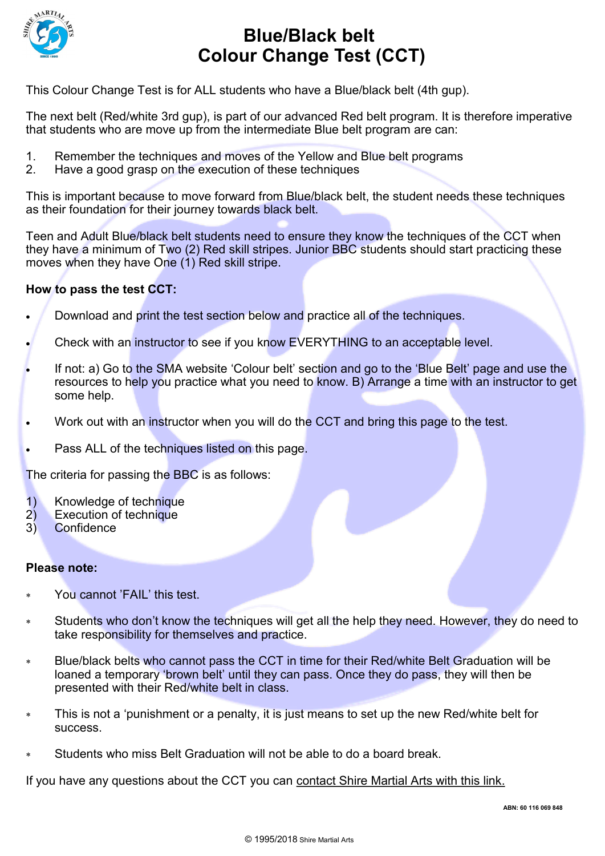

## **Blue/Black belt Colour Change Test (CCT)**

This Colour Change Test is for ALL students who have a Blue/black belt (4th gup).

The next belt (Red/white 3rd gup), is part of our advanced Red belt program. It is therefore imperative that students who are move up from the intermediate Blue belt program are can:

- 1. Remember the techniques and moves of the Yellow and Blue belt programs
- 2. Have a good grasp on the execution of these techniques

This is important because to move forward from Blue/black belt, the student needs these techniques as their foundation for their journey towards black belt.

Teen and Adult Blue/black belt students need to ensure they know the techniques of the CCT when they have a minimum of Two (2) Red skill stripes. Junior BBC students should start practicing these moves when they have One (1) Red skill stripe.

### **How to pass the test CCT:**

- Download and print the test section below and practice all of the techniques.
- Check with an instructor to see if you know EVERYTHING to an acceptable level.
- If not: a) Go to the SMA website 'Colour belt' section and go to the 'Blue Belt' page and use the resources to help you practice what you need to know. B) Arrange a time with an instructor to get some help.
- Work out with an instructor when you will do the CCT and bring this page to the test.
- Pass ALL of the techniques listed on this page.

The criteria for passing the BBC is as follows:

- 1) Knowledge of technique
- 2) Execution of technique
- 3) Confidence

#### **Please note:**

- You cannot 'FAIL' this test.
- Students who don't know the techniques will get all the help they need. However, they do need to take responsibility for themselves and practice.
- Blue/black belts who cannot pass the CCT in time for their Red/white Belt Graduation will be loaned a temporary 'brown belt' until they can pass. Once they do pass, they will then be presented with their Red/white belt in class.
- This is not a 'punishment or a penalty, it is just means to set up the new Red/white belt for success.
- Students who miss Belt Graduation will not be able to do a board break.

If you have any questions about the CCT you can [contact Shire Martial Arts with this link.](http://www.shiremartialarts.com.au/contact-us/)